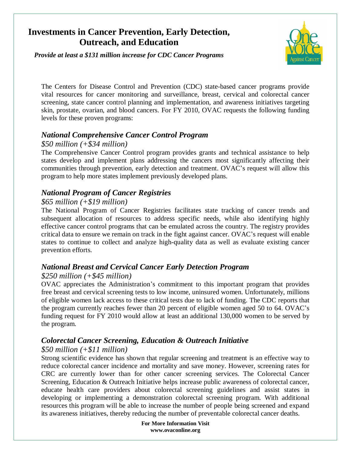# **Investments in Cancer Prevention, Early Detection, Outreach, and Education**

*Provide at least a \$131 million increase for CDC Cancer Programs*



The Centers for Disease Control and Prevention (CDC) state-based cancer programs provide vital resources for cancer monitoring and surveillance, breast, cervical and colorectal cancer screening, state cancer control planning and implementation, and awareness initiatives targeting skin, prostate, ovarian, and blood cancers. For FY 2010, OVAC requests the following funding levels for these proven programs:

## *National Comprehensive Cancer Control Program*

### *\$50 million (+\$34 million)*

The Comprehensive Cancer Control program provides grants and technical assistance to help states develop and implement plans addressing the cancers most significantly affecting their communities through prevention, early detection and treatment. OVAC's request will allow this program to help more states implement previously developed plans.

## *National Program of Cancer Registries*

### *\$65 million (+\$19 million)*

The National Program of Cancer Registries facilitates state tracking of cancer trends and subsequent allocation of resources to address specific needs, while also identifying highly effective cancer control programs that can be emulated across the country. The registry provides critical data to ensure we remain on track in the fight against cancer. OVAC's request will enable states to continue to collect and analyze high-quality data as well as evaluate existing cancer prevention efforts.

## *National Breast and Cervical Cancer Early Detection Program*

#### *\$250 million (+\$45 million)*

OVAC appreciates the Administration's commitment to this important program that provides free breast and cervical screening tests to low income, uninsured women. Unfortunately, millions of eligible women lack access to these critical tests due to lack of funding. The CDC reports that the program currently reaches fewer than 20 percent of eligible women aged 50 to 64. OVAC's funding request for FY 2010 would allow at least an additional 130,000 women to be served by the program.

## *Colorectal Cancer Screening, Education & Outreach Initiative*

## *\$50 million (+\$11 million)*

Strong scientific evidence has shown that regular screening and treatment is an effective way to reduce colorectal cancer incidence and mortality and save money. However, screening rates for CRC are currently lower than for other cancer screening services. The Colorectal Cancer Screening, Education & Outreach Initiative helps increase public awareness of colorectal cancer, educate health care providers about colorectal screening guidelines and assist states in developing or implementing a demonstration colorectal screening program. With additional resources this program will be able to increase the number of people being screened and expand its awareness initiatives, thereby reducing the number of preventable colorectal cancer deaths.

> **For More Information Visit www.ovaconline.org**